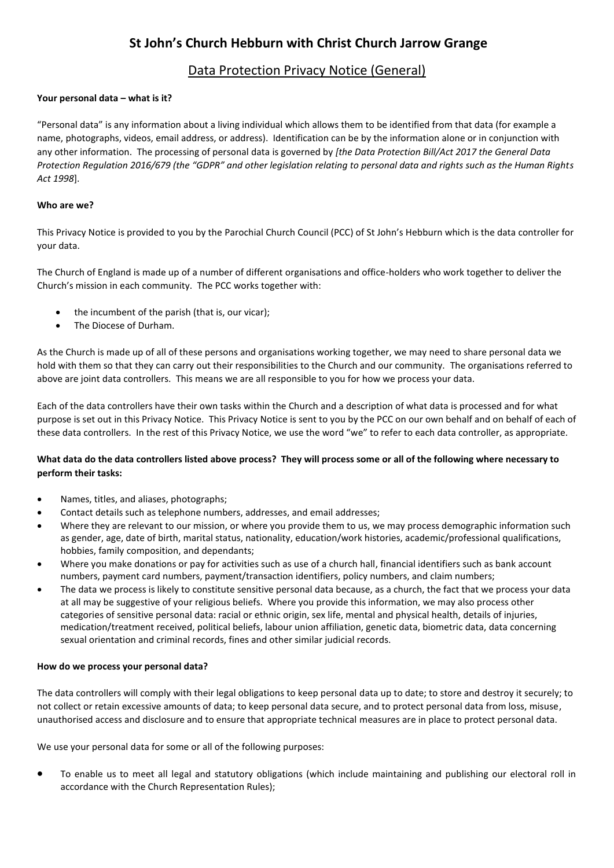# **St John's Church Hebburn with Christ Church Jarrow Grange**

# Data Protection Privacy Notice (General)

### **Your personal data – what is it?**

"Personal data" is any information about a living individual which allows them to be identified from that data (for example a name, photographs, videos, email address, or address). Identification can be by the information alone or in conjunction with any other information. The processing of personal data is governed by *[the Data Protection Bill/Act 2017 the General Data Protection Regulation 2016/679 (the "GDPR" and other legislation relating to personal data and rights such as the Human Rights Act 1998*].

#### **Who are we?**

This Privacy Notice is provided to you by the Parochial Church Council (PCC) of St John's Hebburn which is the data controller for your data.

The Church of England is made up of a number of different organisations and office-holders who work together to deliver the Church's mission in each community. The PCC works together with:

- the incumbent of the parish (that is, our vicar);
- The Diocese of Durham.

As the Church is made up of all of these persons and organisations working together, we may need to share personal data we hold with them so that they can carry out their responsibilities to the Church and our community. The organisations referred to above are joint data controllers. This means we are all responsible to you for how we process your data.

Each of the data controllers have their own tasks within the Church and a description of what data is processed and for what purpose is set out in this Privacy Notice. This Privacy Notice is sent to you by the PCC on our own behalf and on behalf of each of these data controllers. In the rest of this Privacy Notice, we use the word "we" to refer to each data controller, as appropriate.

## **What data do the data controllers listed above process? They will process some or all of the following where necessary to perform their tasks:**

- Names, titles, and aliases, photographs;
- Contact details such as telephone numbers, addresses, and email addresses;
- Where they are relevant to our mission, or where you provide them to us, we may process demographic information such as gender, age, date of birth, marital status, nationality, education/work histories, academic/professional qualifications, hobbies, family composition, and dependants;
- Where you make donations or pay for activities such as use of a church hall, financial identifiers such as bank account numbers, payment card numbers, payment/transaction identifiers, policy numbers, and claim numbers;
- The data we process is likely to constitute sensitive personal data because, as a church, the fact that we process your data at all may be suggestive of your religious beliefs. Where you provide this information, we may also process other categories of sensitive personal data: racial or ethnic origin, sex life, mental and physical health, details of injuries, medication/treatment received, political beliefs, labour union affiliation, genetic data, biometric data, data concerning sexual orientation and criminal records, fines and other similar judicial records.

#### **How do we process your personal data?**

The data controllers will comply with their legal obligations to keep personal data up to date; to store and destroy it securely; to not collect or retain excessive amounts of data; to keep personal data secure, and to protect personal data from loss, misuse, unauthorised access and disclosure and to ensure that appropriate technical measures are in place to protect personal data.

We use your personal data for some or all of the following purposes:

 To enable us to meet all legal and statutory obligations (which include maintaining and publishing our electoral roll in accordance with the Church Representation Rules);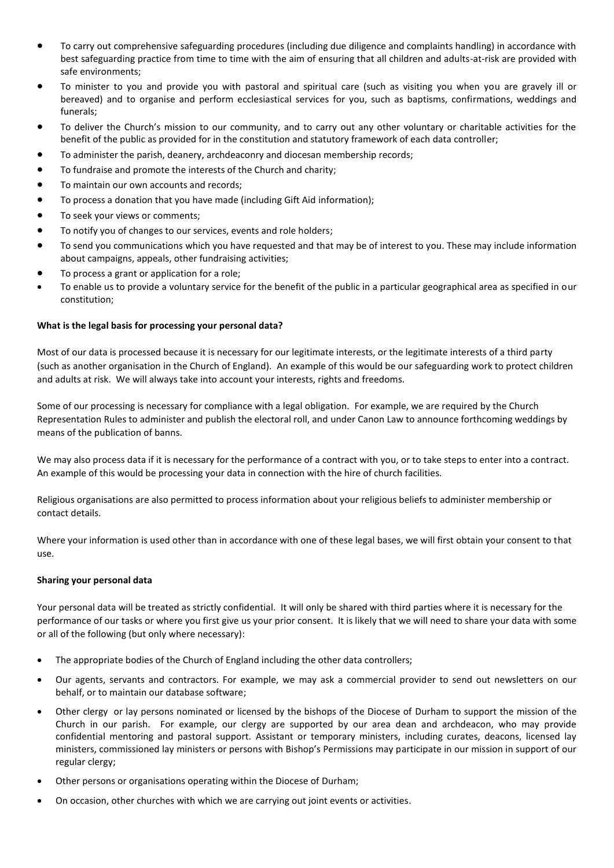- To carry out comprehensive safeguarding procedures (including due diligence and complaints handling) in accordance with best safeguarding practice from time to time with the aim of ensuring that all children and adults-at-risk are provided with safe environments;
- To minister to you and provide you with pastoral and spiritual care (such as visiting you when you are gravely ill or bereaved) and to organise and perform ecclesiastical services for you, such as baptisms, confirmations, weddings and funerals;
- To deliver the Church's mission to our community, and to carry out any other voluntary or charitable activities for the benefit of the public as provided for in the constitution and statutory framework of each data controller;
- To administer the parish, deanery, archdeaconry and diocesan membership records;
- To fundraise and promote the interests of the Church and charity;
- To maintain our own accounts and records;
- To process a donation that you have made (including Gift Aid information);
- To seek your views or comments;
- To notify you of changes to our services, events and role holders;
- To send you communications which you have requested and that may be of interest to you. These may include information about campaigns, appeals, other fundraising activities;
- To process a grant or application for a role;
- To enable us to provide a voluntary service for the benefit of the public in a particular geographical area as specified in our constitution;

#### **What is the legal basis for processing your personal data?**

Most of our data is processed because it is necessary for our legitimate interests, or the legitimate interests of a third party (such as another organisation in the Church of England). An example of this would be our safeguarding work to protect children and adults at risk. We will always take into account your interests, rights and freedoms.

Some of our processing is necessary for compliance with a legal obligation. For example, we are required by the Church Representation Rules to administer and publish the electoral roll, and under Canon Law to announce forthcoming weddings by means of the publication of banns.

We may also process data if it is necessary for the performance of a contract with you, or to take steps to enter into a contract. An example of this would be processing your data in connection with the hire of church facilities.

Religious organisations are also permitted to process information about your religious beliefs to administer membership or contact details.

Where your information is used other than in accordance with one of these legal bases, we will first obtain your consent to that use.

#### **Sharing your personal data**

Your personal data will be treated as strictly confidential. It will only be shared with third parties where it is necessary for the performance of our tasks or where you first give us your prior consent. It is likely that we will need to share your data with some or all of the following (but only where necessary):

- The appropriate bodies of the Church of England including the other data controllers;
- Our agents, servants and contractors. For example, we may ask a commercial provider to send out newsletters on our behalf, or to maintain our database software;
- Other clergy or lay persons nominated or licensed by the bishops of the Diocese of Durham to support the mission of the Church in our parish. For example, our clergy are supported by our area dean and archdeacon, who may provide confidential mentoring and pastoral support. Assistant or temporary ministers, including curates, deacons, licensed lay ministers, commissioned lay ministers or persons with Bishop's Permissions may participate in our mission in support of our regular clergy;
- Other persons or organisations operating within the Diocese of Durham;
- On occasion, other churches with which we are carrying out joint events or activities.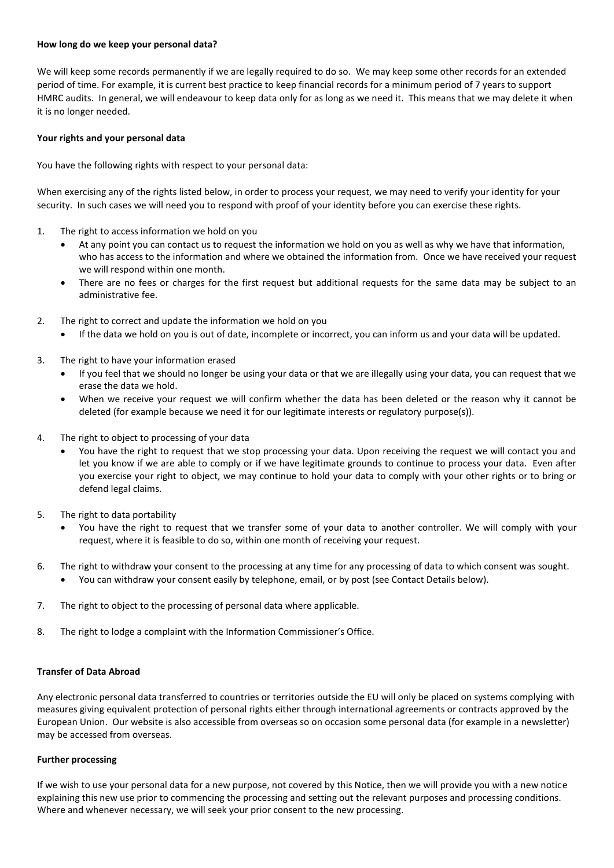#### **How long do we keep your personal data?**

We will keep some records permanently if we are legally required to do so. We may keep some other records for an extended period of time. For example, it is current best practice to keep financial records for a minimum period of 7 years to support HMRC audits. In general, we will endeavour to keep data only for as long as we need it. This means that we may delete it when it is no longer needed.

#### **Your rights and your personal data**

You have the following rights with respect to your personal data:

When exercising any of the rights listed below, in order to process your request, we may need to verify your identity for your security. In such cases we will need you to respond with proof of your identity before you can exercise these rights.

- 1. The right to access information we hold on you
	- At any point you can contact us to request the information we hold on you as well as why we have that information, who has access to the information and where we obtained the information from. Once we have received your request we will respond within one month.
	- There are no fees or charges for the first request but additional requests for the same data may be subject to an administrative fee.
- 2. The right to correct and update the information we hold on you
	- If the data we hold on you is out of date, incomplete or incorrect, you can inform us and your data will be updated.
- 3. The right to have your information erased
	- If you feel that we should no longer be using your data or that we are illegally using your data, you can request that we erase the data we hold.
	- When we receive your request we will confirm whether the data has been deleted or the reason why it cannot be deleted (for example because we need it for our legitimate interests or regulatory purpose(s)).
- 4. The right to object to processing of your data
	- You have the right to request that we stop processing your data. Upon receiving the request we will contact you and let you know if we are able to comply or if we have legitimate grounds to continue to process your data. Even after you exercise your right to object, we may continue to hold your data to comply with your other rights or to bring or defend legal claims.
- 5. The right to data portability
	- You have the right to request that we transfer some of your data to another controller. We will comply with your request, where it is feasible to do so, within one month of receiving your request.
- 6. The right to withdraw your consent to the processing at any time for any processing of data to which consent was sought. You can withdraw your consent easily by telephone, email, or by post (see Contact Details below).
- 7. The right to object to the processing of personal data where applicable.
- 8. The right to lodge a complaint with the Information Commissioner's Office.

#### **Transfer of Data Abroad**

Any electronic personal data transferred to countries or territories outside the EU will only be placed on systems complying with measures giving equivalent protection of personal rights either through international agreements or contracts approved by the European Union. Our website is also accessible from overseas so on occasion some personal data (for example in a newsletter) may be accessed from overseas.

#### **Further processing**

If we wish to use your personal data for a new purpose, not covered by this Notice, then we will provide you with a new notice explaining this new use prior to commencing the processing and setting out the relevant purposes and processing conditions. Where and whenever necessary, we will seek your prior consent to the new processing.